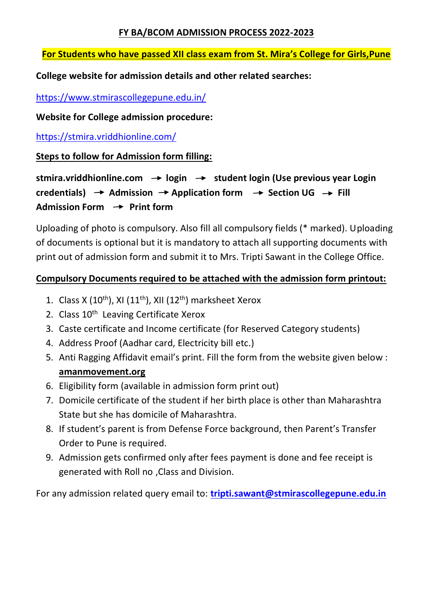## **FY BA/BCOM ADMISSION PROCESS 2022-2023**

## **For Students who have passed XII class exam from St. Mira's College for Girls,Pune**

## **College website for admission details and other related searches:**

<https://www.stmirascollegepune.edu.in/>

**Website for College admission procedure:**

<https://stmira.vriddhionline.com/>

**Steps to follow for Admission form filling:**

stmira.vriddhionline.com → login → student login (Use previous year Login credentials)  $\rightarrow$  Admission  $\rightarrow$  Application form  $\rightarrow$  Section UG  $\rightarrow$  Fill Admission Form  $\rightarrow$  Print form

Uploading of photo is compulsory. Also fill all compulsory fields (\* marked). Uploading of documents is optional but it is mandatory to attach all supporting documents with print out of admission form and submit it to Mrs. Tripti Sawant in the College Office.

## **Compulsory Documents required to be attached with the admission form printout:**

- 1. Class X (10<sup>th</sup>), XI (11<sup>th</sup>), XII (12<sup>th</sup>) marksheet Xerox
- 2. Class 10<sup>th</sup> Leaving Certificate Xerox
- 3. Caste certificate and Income certificate (for Reserved Category students)
- 4. Address Proof (Aadhar card, Electricity bill etc.)
- 5. Anti Ragging Affidavit email's print. Fill the form from the website given below : **amanmovement.org**
- 6. Eligibility form (available in admission form print out)
- 7. Domicile certificate of the student if her birth place is other than Maharashtra State but she has domicile of Maharashtra.
- 8. If student's parent is from Defense Force background, then Parent's Transfer Order to Pune is required.
- 9. Admission gets confirmed only after fees payment is done and fee receipt is generated with Roll no ,Class and Division.

For any admission related query email to: **[tripti.sawant@stmirascollegepune.edu.in](mailto:tripti.sawant@stmirascollegepune.edu.in)**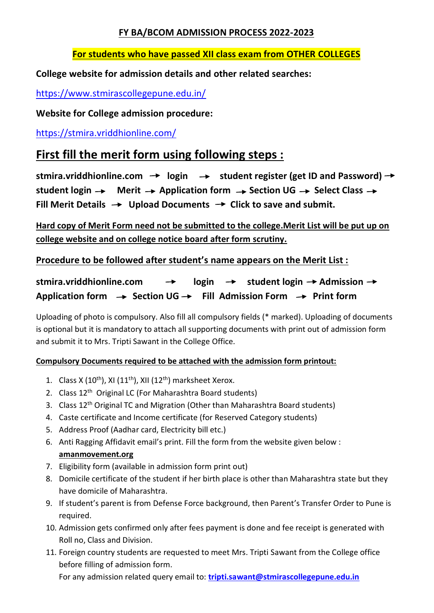## **FY BA/BCOM ADMISSION PROCESS 2022-2023**

## **For students who have passed XII class exam from OTHER COLLEGES**

## **College website for admission details and other related searches:**

<https://www.stmirascollegepune.edu.in/>

**Website for College admission procedure:**

<https://stmira.vriddhionline.com/>

# **First fill the merit form using following steps :**

stmira.vriddhionline.com  $\rightarrow$  login  $\rightarrow$  student register (get ID and Password)  $\rightarrow$ student login  $\rightarrow$  Merit  $\rightarrow$  Application form  $\rightarrow$  Section UG  $\rightarrow$  Select Class  $\rightarrow$ Fill Merit Details  $\rightarrow$  Upload Documents  $\rightarrow$  Click to save and submit.

**Hard copy of Merit Form need not be submitted to the college.Merit List will be put up on college website and on college notice board after form scrutiny.**

**Procedure to be followed after student's name appears on the Merit List :**

stmira.vriddhionline.com → login → student login → Admission → Application form  $\rightarrow$  Section UG  $\rightarrow$  Fill Admission Form  $\rightarrow$  Print form

Uploading of photo is compulsory. Also fill all compulsory fields (\* marked). Uploading of documents is optional but it is mandatory to attach all supporting documents with print out of admission form and submit it to Mrs. Tripti Sawant in the College Office.

## **Compulsory Documents required to be attached with the admission form printout:**

- 1. Class X (10<sup>th</sup>), XI (11<sup>th</sup>), XII (12<sup>th</sup>) marksheet Xerox.
- 2. Class 12<sup>th</sup> Original LC (For Maharashtra Board students)
- 3. Class 12<sup>th</sup> Original TC and Migration (Other than Maharashtra Board students)
- 4. Caste certificate and Income certificate (for Reserved Category students)
- 5. Address Proof (Aadhar card, Electricity bill etc.)
- 6. Anti Ragging Affidavit email's print. Fill the form from the website given below : **amanmovement.org**
- 7. Eligibility form (available in admission form print out)
- 8. Domicile certificate of the student if her birth place is other than Maharashtra state but they have domicile of Maharashtra.
- 9. If student's parent is from Defense Force background, then Parent's Transfer Order to Pune is required.
- 10. Admission gets confirmed only after fees payment is done and fee receipt is generated with Roll no, Class and Division.
- 11. Foreign country students are requested to meet Mrs. Tripti Sawant from the College office before filling of admission form.

For any admission related query email to: **[tripti.sawant@stmirascollegepune.edu.in](mailto:tripti.sawant@stmirascollegepune.edu.in)**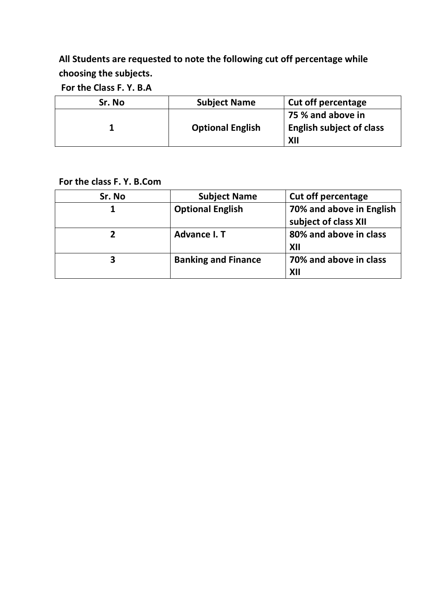# **All Students are requested to note the following cut off percentage while choosing the subjects.**

**For the Class F. Y. B.A** 

| Sr. No | <b>Subject Name</b>     | Cut off percentage              |
|--------|-------------------------|---------------------------------|
|        |                         | 75 % and above in               |
|        | <b>Optional English</b> | <b>English subject of class</b> |
|        |                         | XII                             |

**For the class F. Y. B.Com**

| Sr. No | <b>Subject Name</b>        | <b>Cut off percentage</b> |
|--------|----------------------------|---------------------------|
| 1      | <b>Optional English</b>    | 70% and above in English  |
|        |                            | subject of class XII      |
| າ      | Advance I.T                | 80% and above in class    |
|        |                            | XII                       |
| 3      | <b>Banking and Finance</b> | 70% and above in class    |
|        |                            | XII                       |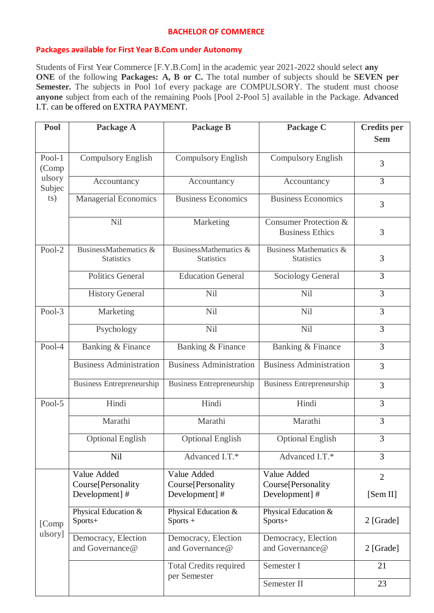#### **BACHELOR OF COMMERCE**

#### **Packages available for First Year B.Com under Autonomy**

Students of First Year Commerce [F.Y.B.Com] in the academic year 2021-2022 should select **any ONE** of the following **Packages: A, B or C.** The total number of subjects should be **SEVEN** per Semester. The subjects in Pool 1of every package are COMPULSORY. The student must choose **anyone** subject from each of the remaining Pools [Pool 2-Pool 5] available in the Package. Advanced I.T. can be offered on EXTRA PAYMENT.

| Pool                    | Package A                                     | Package B                                  | Package C                                       | <b>Credits</b> per |
|-------------------------|-----------------------------------------------|--------------------------------------------|-------------------------------------------------|--------------------|
|                         |                                               |                                            |                                                 | <b>Sem</b>         |
| Pool-1<br>(Comp         | <b>Compulsory English</b>                     | <b>Compulsory English</b>                  | <b>Compulsory English</b>                       | 3                  |
| ulsory<br>Subjec<br>ts) | Accountancy                                   | Accountancy                                | Accountancy                                     | 3                  |
|                         | <b>Managerial Economics</b>                   | <b>Business Economics</b>                  | <b>Business Economics</b>                       | 3                  |
|                         | Nil                                           | Marketing                                  | Consumer Protection &<br><b>Business Ethics</b> | 3                  |
| Pool-2                  | BusinessMathematics &<br><b>Statistics</b>    | BusinessMathematics &<br><b>Statistics</b> | Business Mathematics &<br><b>Statistics</b>     | 3                  |
|                         | <b>Politics General</b>                       | <b>Education General</b>                   | Sociology General                               | 3                  |
|                         | <b>History General</b>                        | Nil                                        | Nil                                             | 3                  |
| Pool- $3$               | Marketing                                     | Nil                                        | Nil                                             | $\overline{3}$     |
|                         | Psychology                                    | Nil                                        | Nil                                             | 3                  |
| Pool-4                  | Banking & Finance                             | Banking & Finance                          | Banking & Finance                               | 3                  |
|                         | <b>Business Administration</b>                | <b>Business Administration</b>             | <b>Business Administration</b>                  | 3                  |
|                         | <b>Business Entrepreneurship</b>              | <b>Business Entrepreneurship</b>           | <b>Business Entrepreneurship</b>                | 3                  |
| Pool-5                  | Hindi                                         | Hindi                                      | Hindi                                           | 3                  |
|                         | Marathi                                       | Marathi                                    | Marathi                                         | 3                  |
|                         | <b>Optional English</b>                       | <b>Optional English</b>                    | <b>Optional English</b>                         | 3                  |
|                         | Nil                                           | Advanced I.T.*                             | Advanced I.T.*                                  | 3                  |
| [Comp<br>ulsory]        | Value Added<br>Course[Personality             | Value Added<br>Course[Personality          | Value Added<br>Course[Personality               | $\overline{2}$     |
|                         | Development]#                                 | Development]#                              | Development]#                                   | [Sem II]           |
|                         | Physical Education &<br>Sports+               | Physical Education &<br>$Sports +$         | Physical Education &<br>Sports+                 | 2 [Grade]          |
|                         | Democracy, Election<br>and Governance@        | Democracy, Election<br>and Governance@     | Democracy, Election<br>and Governance@          | $2$ [Grade]        |
|                         | <b>Total Credits required</b><br>per Semester |                                            | Semester I                                      | 21                 |
|                         |                                               | Semester II                                | 23                                              |                    |